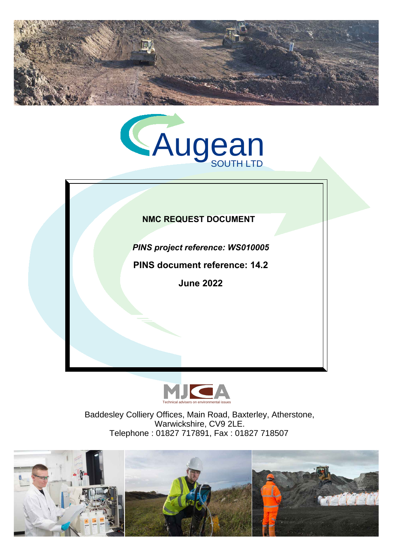



# **NMC REQUEST DOCUMENT**

*PINS project reference: WS010005*

**PINS document reference: 14.2** 

**June 2022**



Baddesley Colliery Offices, Main Road, Baxterley, Atherstone, Warwickshire, CV9 2LE. Telephone : 01827 717891, Fax : 01827 718507

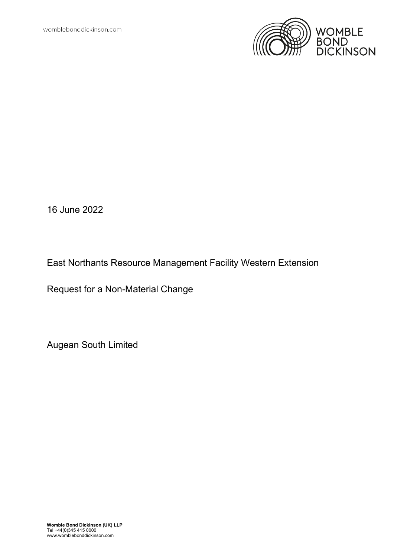

16 June 2022

East Northants Resource Management Facility Western Extension

Request for a Non-Material Change

Augean South Limited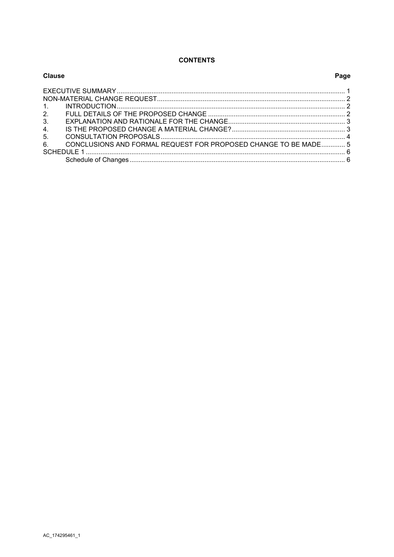### **CONTENTS**

| Clause                                                                | Page |
|-----------------------------------------------------------------------|------|
|                                                                       |      |
|                                                                       |      |
|                                                                       |      |
| 2.                                                                    |      |
| 3.                                                                    |      |
| 4.                                                                    |      |
| 5.                                                                    |      |
| CONCLUSIONS AND FORMAL REQUEST FOR PROPOSED CHANGE TO BE MADE 5<br>6. |      |
|                                                                       |      |
|                                                                       |      |
|                                                                       |      |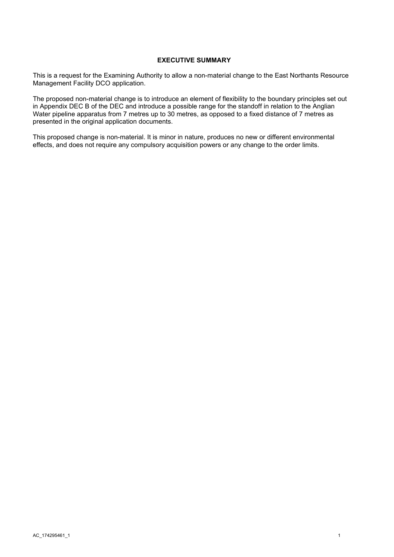#### **EXECUTIVE SUMMARY**

<span id="page-3-0"></span>This is a request for the Examining Authority to allow a non-material change to the East Northants Resource Management Facility DCO application.

The proposed non-material change is to introduce an element of flexibility to the boundary principles set out in Appendix DEC B of the DEC and introduce a possible range for the standoff in relation to the Anglian Water pipeline apparatus from 7 metres up to 30 metres, as opposed to a fixed distance of 7 metres as presented in the original application documents.

This proposed change is non-material. It is minor in nature, produces no new or different environmental effects, and does not require any compulsory acquisition powers or any change to the order limits.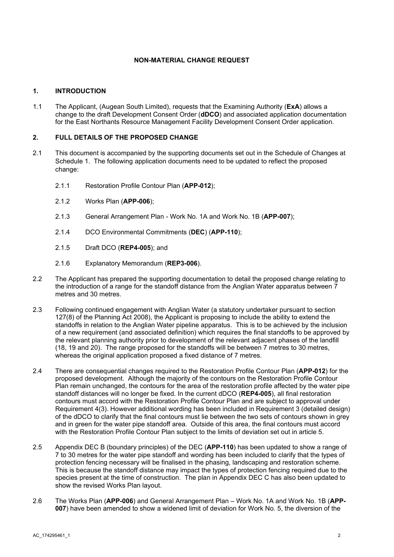#### **NON-MATERIAL CHANGE REQUEST**

#### <span id="page-4-1"></span><span id="page-4-0"></span>**1. INTRODUCTION**

1.1 The Applicant, (Augean South Limited), requests that the Examining Authority (**ExA**) allows a change to the draft Development Consent Order (**dDCO**) and associated application documentation for the East Northants Resource Management Facility Development Consent Order application.

#### <span id="page-4-2"></span>**2. FULL DETAILS OF THE PROPOSED CHANGE**

- 2.1 This document is accompanied by the supporting documents set out in the Schedule of Changes at Schedule 1. The following application documents need to be updated to reflect the proposed change:
	- 2.1.1 Restoration Profile Contour Plan (**APP-012**);
	- 2.1.2 Works Plan (**APP-006**);
	- 2.1.3 General Arrangement Plan Work No. 1A and Work No. 1B (**APP-007**);
	- 2.1.4 DCO Environmental Commitments (**DEC**) (**APP-110**);
	- 2.1.5 Draft DCO (**REP4-005**); and
	- 2.1.6 Explanatory Memorandum (**REP3-006**).
- 2.2 The Applicant has prepared the supporting documentation to detail the proposed change relating to the introduction of a range for the standoff distance from the Anglian Water apparatus between 7 metres and 30 metres.
- 2.3 Following continued engagement with Anglian Water (a statutory undertaker pursuant to section 127(8) of the Planning Act 2008), the Applicant is proposing to include the ability to extend the standoffs in relation to the Anglian Water pipeline apparatus. This is to be achieved by the inclusion of a new requirement (and associated definition) which requires the final standoffs to be approved by the relevant planning authority prior to development of the relevant adjacent phases of the landfill (18, 19 and 20). The range proposed for the standoffs will be between 7 metres to 30 metres, whereas the original application proposed a fixed distance of 7 metres.
- 2.4 There are consequential changes required to the Restoration Profile Contour Plan (**APP-012**) for the proposed development. Although the majority of the contours on the Restoration Profile Contour Plan remain unchanged, the contours for the area of the restoration profile affected by the water pipe standoff distances will no longer be fixed. In the current dDCO (**REP4-005**), all final restoration contours must accord with the Restoration Profile Contour Plan and are subject to approval under Requirement 4(3). However additional wording has been included in Requirement 3 (detailed design) of the dDCO to clarify that the final contours must lie between the two sets of contours shown in grey and in green for the water pipe standoff area. Outside of this area, the final contours must accord with the Restoration Profile Contour Plan subject to the limits of deviation set out in article 5.
- 2.5 Appendix DEC B (boundary principles) of the DEC (**APP-110**) has been updated to show a range of 7 to 30 metres for the water pipe standoff and wording has been included to clarify that the types of protection fencing necessary will be finalised in the phasing, landscaping and restoration scheme. This is because the standoff distance may impact the types of protection fencing required due to the species present at the time of construction. The plan in Appendix DEC C has also been updated to show the revised Works Plan layout.
- 2.6 The Works Plan (**APP-006**) and General Arrangement Plan Work No. 1A and Work No. 1B (**APP-007**) have been amended to show a widened limit of deviation for Work No. 5, the diversion of the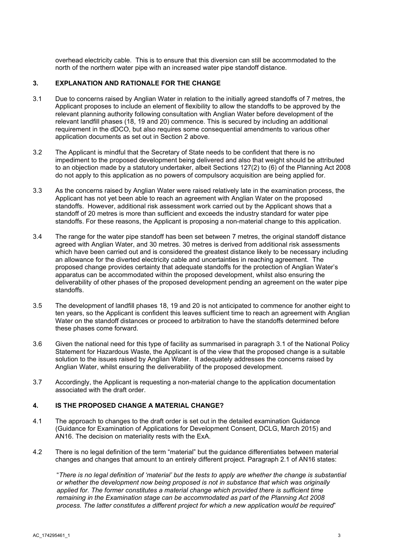overhead electricity cable. This is to ensure that this diversion can still be accommodated to the north of the northern water pipe with an increased water pipe standoff distance.

#### <span id="page-5-0"></span>**3. EXPLANATION AND RATIONALE FOR THE CHANGE**

- 3.1 Due to concerns raised by Anglian Water in relation to the initially agreed standoffs of 7 metres, the Applicant proposes to include an element of flexibility to allow the standoffs to be approved by the relevant planning authority following consultation with Anglian Water before development of the relevant landfill phases (18, 19 and 20) commence. This is secured by including an additional requirement in the dDCO, but also requires some consequential amendments to various other application documents as set out in Section 2 above.
- 3.2 The Applicant is mindful that the Secretary of State needs to be confident that there is no impediment to the proposed development being delivered and also that weight should be attributed to an objection made by a statutory undertaker, albeit Sections 127(2) to (6) of the Planning Act 2008 do not apply to this application as no powers of compulsory acquisition are being applied for.
- 3.3 As the concerns raised by Anglian Water were raised relatively late in the examination process, the Applicant has not yet been able to reach an agreement with Anglian Water on the proposed standoffs. However, additional risk assessment work carried out by the Applicant shows that a standoff of 20 metres is more than sufficient and exceeds the industry standard for water pipe standoffs. For these reasons, the Applicant is proposing a non-material change to this application.
- 3.4 The range for the water pipe standoff has been set between 7 metres, the original standoff distance agreed with Anglian Water, and 30 metres. 30 metres is derived from additional risk assessments which have been carried out and is considered the greatest distance likely to be necessary including an allowance for the diverted electricity cable and uncertainties in reaching agreement. The proposed change provides certainty that adequate standoffs for the protection of Anglian Water's apparatus can be accommodated within the proposed development, whilst also ensuring the deliverability of other phases of the proposed development pending an agreement on the water pipe standoffs.
- 3.5 The development of landfill phases 18, 19 and 20 is not anticipated to commence for another eight to ten years, so the Applicant is confident this leaves sufficient time to reach an agreement with Anglian Water on the standoff distances or proceed to arbitration to have the standoffs determined before these phases come forward.
- 3.6 Given the national need for this type of facility as summarised in paragraph 3.1 of the National Policy Statement for Hazardous Waste, the Applicant is of the view that the proposed change is a suitable solution to the issues raised by Anglian Water. It adequately addresses the concerns raised by Anglian Water, whilst ensuring the deliverability of the proposed development.
- 3.7 Accordingly, the Applicant is requesting a non-material change to the application documentation associated with the draft order.

#### <span id="page-5-1"></span>**4. IS THE PROPOSED CHANGE A MATERIAL CHANGE?**

- 4.1 The approach to changes to the draft order is set out in the detailed examination Guidance (Guidance for Examination of Applications for Development Consent, DCLG, March 2015) and AN16. The decision on materiality rests with the ExA.
- 4.2 There is no legal definition of the term "material" but the guidance differentiates between material changes and changes that amount to an entirely different project. Paragraph 2.1 of AN16 states:

"*There is no legal definition of 'material' but the tests to apply are whether the change is substantial or whether the development now being proposed is not in substance that which was originally*  applied for. The former constitutes a material change which provided there is sufficient time *remaining in the Examination stage can be accommodated as part of the Planning Act 2008 process. The latter constitutes a different project for which a new application would be required*"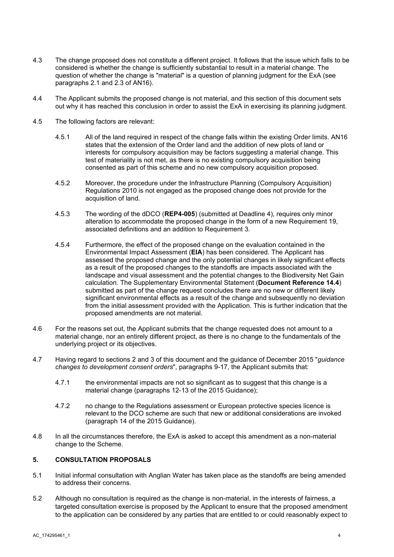- 4.3 The change proposed does not constitute a different project. It follows that the issue which falls to be considered is whether the change is sufficiently substantial to result in a material change. The question of whether the change is "material" is a question of planning judgment for the ExA (see paragraphs 2.1 and 2.3 of AN16).
- 4.4 The Applicant submits the proposed change is not material, and this section of this document sets out why it has reached this conclusion in order to assist the ExA in exercising its planning judgment.
- 4.5 The following factors are relevant:
	- 4.5.1 All of the land required in respect of the change falls within the existing Order limits. AN16 states that the extension of the Order land and the addition of new plots of land or interests for compulsory acquisition may be factors suggesting a material change. This test of materiality is not met, as there is no existing compulsory acquisition being consented as part of this scheme and no new compulsory acquisition proposed.
	- 4.5.2 Moreover, the procedure under the Infrastructure Planning (Compulsory Acquisition) Regulations 2010 is not engaged as the proposed change does not provide for the acquisition of land.
	- 4.5.3 The wording of the dDCO (**REP4-005**) (submitted at Deadline 4), requires only minor alteration to accommodate the proposed change in the form of a new Requirement 19, associated definitions and an addition to Requirement 3.
	- 4.5.4 Furthermore, the effect of the proposed change on the evaluation contained in the Environmental Impact Assessment (**EIA**) has been considered. The Applicant has assessed the proposed change and the only potential changes in likely significant effects as a result of the proposed changes to the standoffs are impacts associated with the landscape and visual assessment and the potential changes to the Biodiversity Net Gain calculation. The Supplementary Environmental Statement (**Document Reference 14.4**) submitted as part of the change request concludes there are no new or different likely significant environmental effects as a result of the change and subsequently no deviation from the initial assessment provided with the Application. This is further indication that the proposed amendments are not material.
- 4.6 For the reasons set out, the Applicant submits that the change requested does not amount to a material change, nor an entirely different project, as there is no change to the fundamentals of the underlying project or its objectives.
- 4.7 Having regard to sections 2 and 3 of this document and the guidance of December 2015 "*guidance changes to development consent orders*", paragraphs 9-17, the Applicant submits that:
	- 4.7.1 the environmental impacts are not so significant as to suggest that this change is a material change (paragraphs 12-13 of the 2015 Guidance);
	- 4.7.2 no change to the Regulations assessment or European protective species licence is relevant to the DCO scheme are such that new or additional considerations are invoked (paragraph 14 of the 2015 Guidance).
- 4.8 In all the circumstances therefore, the ExA is asked to accept this amendment as a non-material change to the Scheme.

### <span id="page-6-0"></span>**5. CONSULTATION PROPOSALS**

- 5.1 Initial informal consultation with Anglian Water has taken place as the standoffs are being amended to address their concerns.
- 5.2 Although no consultation is required as the change is non-material, in the interests of fairness, a targeted consultation exercise is proposed by the Applicant to ensure that the proposed amendment to the application can be considered by any parties that are entitled to or could reasonably expect to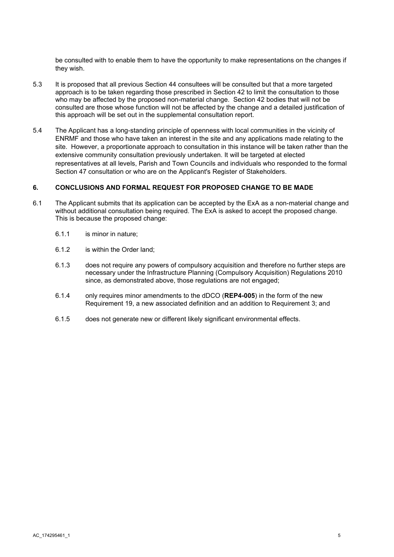be consulted with to enable them to have the opportunity to make representations on the changes if they wish.

- 5.3 It is proposed that all previous Section 44 consultees will be consulted but that a more targeted approach is to be taken regarding those prescribed in Section 42 to limit the consultation to those who may be affected by the proposed non-material change. Section 42 bodies that will not be consulted are those whose function will not be affected by the change and a detailed justification of this approach will be set out in the supplemental consultation report.
- 5.4 The Applicant has a long-standing principle of openness with local communities in the vicinity of ENRMF and those who have taken an interest in the site and any applications made relating to the site. However, a proportionate approach to consultation in this instance will be taken rather than the extensive community consultation previously undertaken. It will be targeted at elected representatives at all levels, Parish and Town Councils and individuals who responded to the formal Section 47 consultation or who are on the Applicant's Register of Stakeholders.

#### <span id="page-7-0"></span>**6. CONCLUSIONS AND FORMAL REQUEST FOR PROPOSED CHANGE TO BE MADE**

- 6.1 The Applicant submits that its application can be accepted by the ExA as a non-material change and without additional consultation being required. The ExA is asked to accept the proposed change. This is because the proposed change:
	- 6.1.1 is minor in nature;
	- 6.1.2 is within the Order land;
	- 6.1.3 does not require any powers of compulsory acquisition and therefore no further steps are necessary under the Infrastructure Planning (Compulsory Acquisition) Regulations 2010 since, as demonstrated above, those regulations are not engaged;
	- 6.1.4 only requires minor amendments to the dDCO (**REP4-005**) in the form of the new Requirement 19, a new associated definition and an addition to Requirement 3; and
	- 6.1.5 does not generate new or different likely significant environmental effects.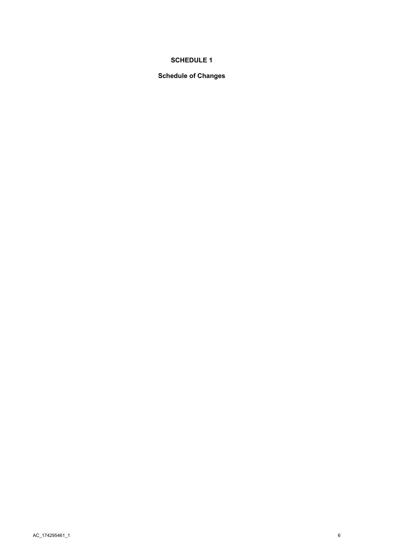## **SCHEDULE 1**

## <span id="page-8-1"></span><span id="page-8-0"></span>**Schedule of Changes**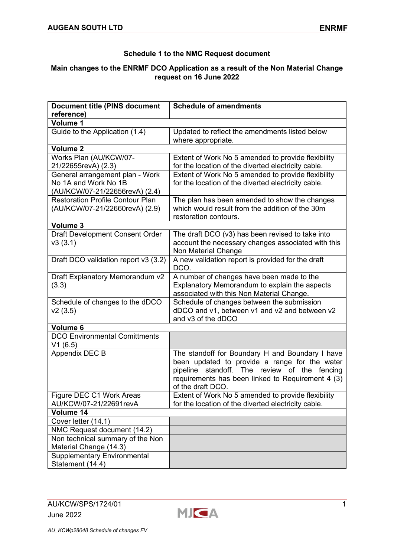## **Schedule 1 to the NMC Request document**

## **Main changes to the ENRMF DCO Application as a result of the Non Material Change request on 16 June 2022**

| <b>Document title (PINS document</b>    | <b>Schedule of amendments</b>                       |
|-----------------------------------------|-----------------------------------------------------|
| reference)                              |                                                     |
| Volume 1                                |                                                     |
| Guide to the Application (1.4)          | Updated to reflect the amendments listed below      |
|                                         | where appropriate.                                  |
| Volume <sub>2</sub>                     |                                                     |
| Works Plan (AU/KCW/07-                  | Extent of Work No 5 amended to provide flexibility  |
| 21/22655revA) (2.3)                     | for the location of the diverted electricity cable. |
| General arrangement plan - Work         | Extent of Work No 5 amended to provide flexibility  |
| No 1A and Work No 1B                    | for the location of the diverted electricity cable. |
| (AU/KCW/07-21/22656revA) (2.4)          |                                                     |
| <b>Restoration Profile Contour Plan</b> | The plan has been amended to show the changes       |
| (AU/KCW/07-21/22660revA) (2.9)          | which would result from the addition of the 30m     |
|                                         | restoration contours.                               |
| Volume 3                                |                                                     |
| <b>Draft Development Consent Order</b>  | The draft DCO (v3) has been revised to take into    |
| v3(3.1)                                 | account the necessary changes associated with this  |
|                                         | Non Material Change                                 |
| Draft DCO validation report v3 (3.2)    | A new validation report is provided for the draft   |
|                                         | DCO.                                                |
| Draft Explanatory Memorandum v2         | A number of changes have been made to the           |
| (3.3)                                   | Explanatory Memorandum to explain the aspects       |
|                                         | associated with this Non Material Change.           |
| Schedule of changes to the dDCO         | Schedule of changes between the submission          |
| v2(3.5)                                 | dDCO and v1, between v1 and v2 and between v2       |
|                                         | and v3 of the dDCO                                  |
| Volume 6                                |                                                     |
| <b>DCO Environmental Comittments</b>    |                                                     |
| V1(6.5)                                 |                                                     |
| Appendix DEC B                          | The standoff for Boundary H and Boundary I have     |
|                                         | been updated to provide a range for the water       |
|                                         | standoff. The review of the fencing<br>pipeline     |
|                                         | requirements has been linked to Requirement 4 (3)   |
|                                         | of the draft DCO.                                   |
| Figure DEC C1 Work Areas                | Extent of Work No 5 amended to provide flexibility  |
| AU/KCW/07-21/22691revA                  | for the location of the diverted electricity cable. |
| Volume 14                               |                                                     |
| Cover letter (14.1)                     |                                                     |
| NMC Request document (14.2)             |                                                     |
| Non technical summary of the Non        |                                                     |
| Material Change (14.3)                  |                                                     |
| <b>Supplementary Environmental</b>      |                                                     |
| Statement (14.4)                        |                                                     |